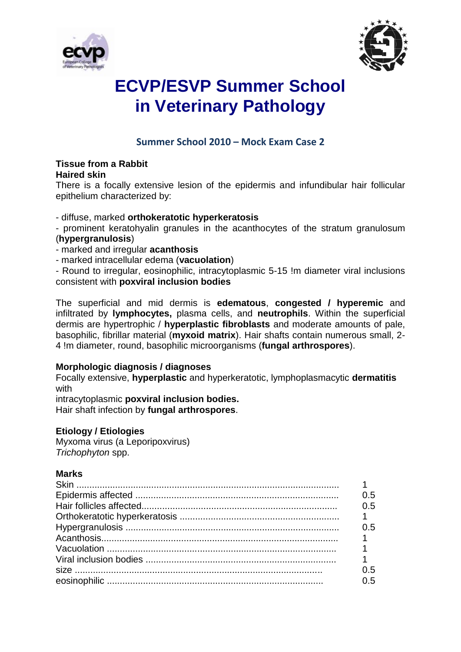



# **ECVP/ESVP Summer School in Veterinary Pathology**

## **Summer School 2010 – Mock Exam Case 2**

#### **Tissue from a Rabbit Haired skin**

There is a focally extensive lesion of the epidermis and infundibular hair follicular epithelium characterized by:

### - diffuse, marked **orthokeratotic hyperkeratosis**

- prominent keratohyalin granules in the acanthocytes of the stratum granulosum (**hypergranulosis**)

- marked and irregular **acanthosis**
- marked intracellular edema (**vacuolation**)

- Round to irregular, eosinophilic, intracytoplasmic 5-15 !m diameter viral inclusions consistent with **poxviral inclusion bodies**

The superficial and mid dermis is **edematous**, **congested / hyperemic** and infiltrated by **lymphocytes,** plasma cells, and **neutrophils**. Within the superficial dermis are hypertrophic / **hyperplastic fibroblasts** and moderate amounts of pale, basophilic, fibrillar material (**myxoid matrix**). Hair shafts contain numerous small, 2- 4 !m diameter, round, basophilic microorganisms (**fungal arthrospores**).

#### **Morphologic diagnosis / diagnoses**

Focally extensive, **hyperplastic** and hyperkeratotic, lymphoplasmacytic **dermatitis**  with

intracytoplasmic **poxviral inclusion bodies.** Hair shaft infection by **fungal arthrospores**.

### **Etiology / Etiologies**

Myxoma virus (a Leporipoxvirus) *Trichophyton* spp.

#### **Marks**

| 0.5 |
|-----|
| 0.5 |
|     |
| 0 5 |
|     |
|     |
|     |
| 0.5 |
| 0.5 |